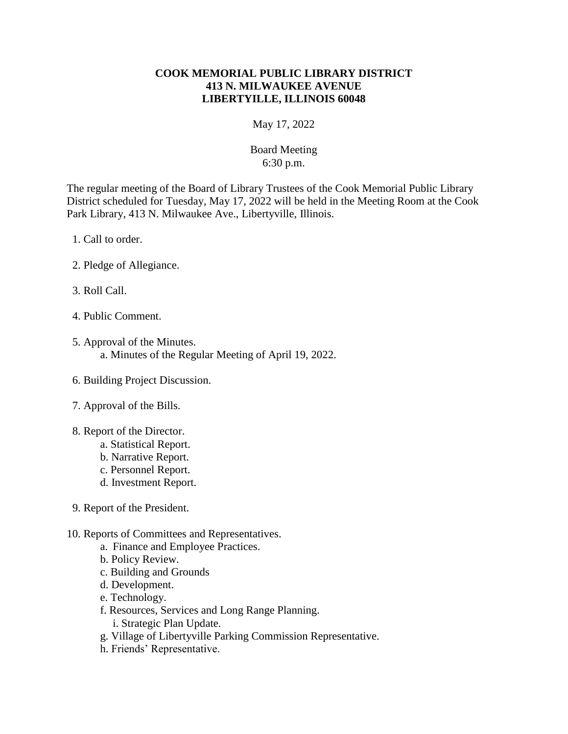## **COOK MEMORIAL PUBLIC LIBRARY DISTRICT 413 N. MILWAUKEE AVENUE LIBERTYILLE, ILLINOIS 60048**

May 17, 2022

## Board Meeting 6:30 p.m.

The regular meeting of the Board of Library Trustees of the Cook Memorial Public Library District scheduled for Tuesday, May 17, 2022 will be held in the Meeting Room at the Cook Park Library, 413 N. Milwaukee Ave., Libertyville, Illinois.

- 1. Call to order.
- 2. Pledge of Allegiance.
- 3. Roll Call.
- 4. Public Comment.
- 5. Approval of the Minutes. a. Minutes of the Regular Meeting of April 19, 2022.
- 6. Building Project Discussion.
- 7. Approval of the Bills.
- 8. Report of the Director.
	- a. Statistical Report.
	- b. Narrative Report.
	- c. Personnel Report.
	- d. Investment Report.
- 9. Report of the President.
- 10. Reports of Committees and Representatives.
	- a. Finance and Employee Practices.
	- b. Policy Review.
	- c. Building and Grounds
	- d. Development.
	- e. Technology.
	- f. Resources, Services and Long Range Planning.
		- i. Strategic Plan Update.
	- g. Village of Libertyville Parking Commission Representative.
	- h. Friends' Representative.